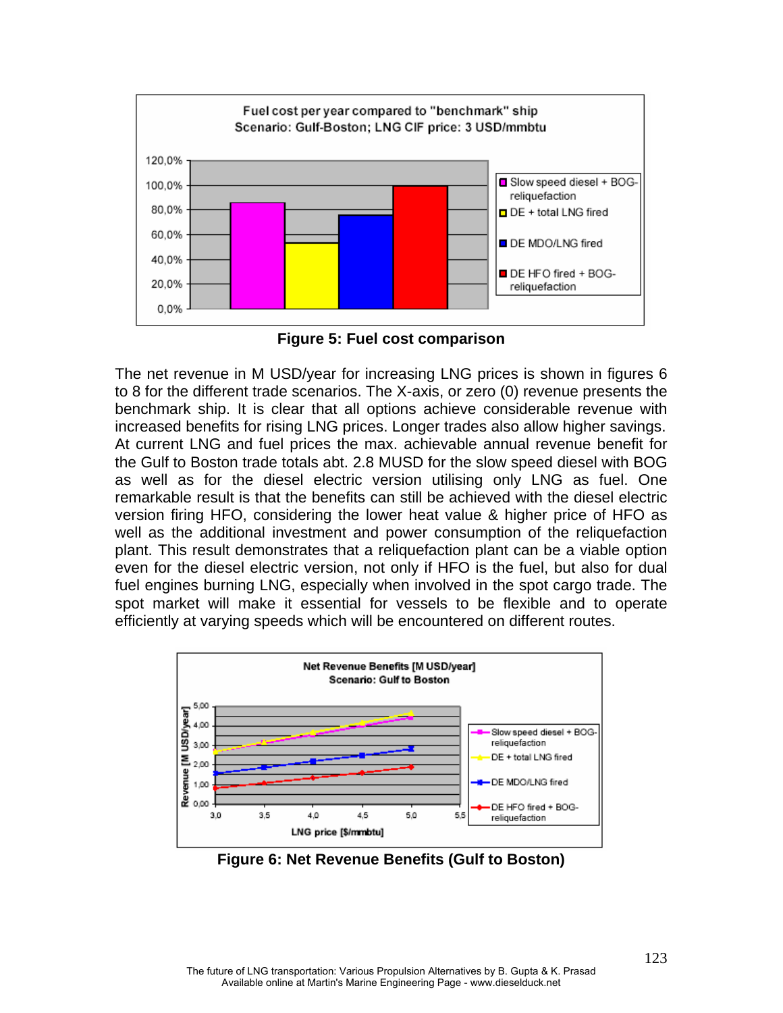

**Figure 5: Fuel cost comparison** 

The net revenue in M USD/year for increasing LNG prices is shown in figures 6 to 8 for the different trade scenarios. The X-axis, or zero (0) revenue presents the benchmark ship. It is clear that all options achieve considerable revenue with increased benefits for rising LNG prices. Longer trades also allow higher savings. At current LNG and fuel prices the max. achievable annual revenue benefit for the Gulf to Boston trade totals abt. 2.8 MUSD for the slow speed diesel with BOG as well as for the diesel electric version utilising only LNG as fuel. One remarkable result is that the benefits can still be achieved with the diesel electric version firing HFO, considering the lower heat value & higher price of HFO as well as the additional investment and power consumption of the reliquefaction plant. This result demonstrates that a reliquefaction plant can be a viable option even for the diesel electric version, not only if HFO is the fuel, but also for dual fuel engines burning LNG, especially when involved in the spot cargo trade. The spot market will make it essential for vessels to be flexible and to operate efficiently at varying speeds which will be encountered on different routes.



**Figure 6: Net Revenue Benefits (Gulf to Boston)**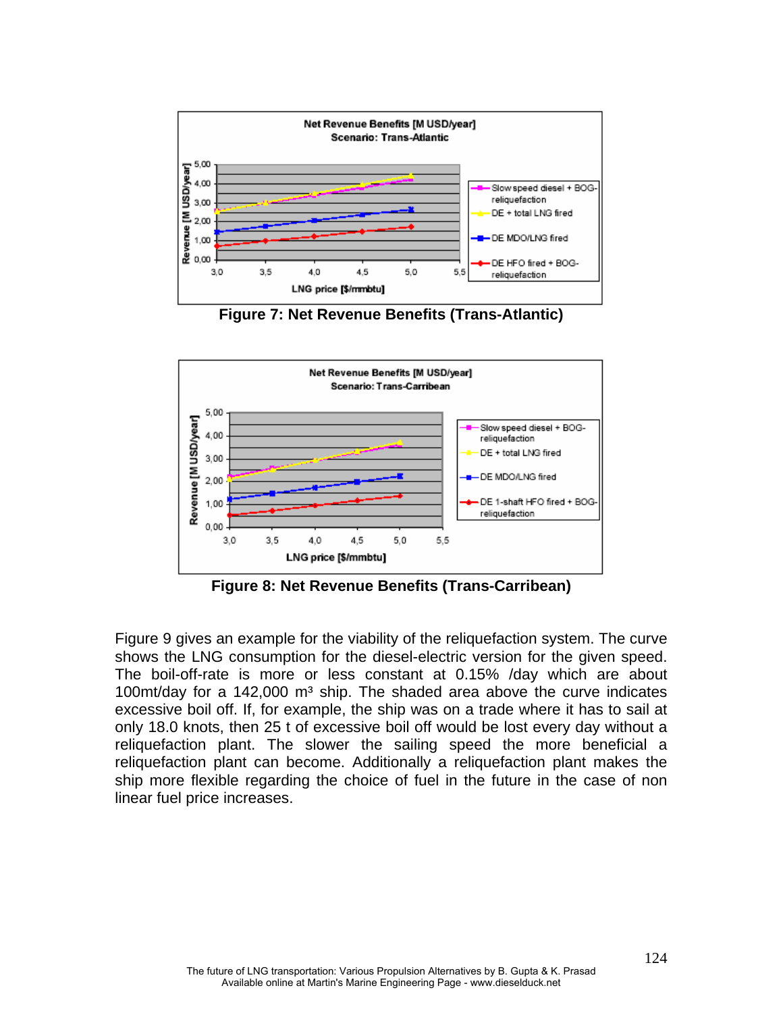

**Figure 7: Net Revenue Benefits (Trans-Atlantic)**



**Figure 8: Net Revenue Benefits (Trans-Carribean)** 

Figure 9 gives an example for the viability of the reliquefaction system. The curve shows the LNG consumption for the diesel-electric version for the given speed. The boil-off-rate is more or less constant at 0.15% /day which are about 100 $\text{m}/\text{day}$  for a 142,000  $\text{m}^3$  ship. The shaded area above the curve indicates excessive boil off. If, for example, the ship was on a trade where it has to sail at only 18.0 knots, then 25 t of excessive boil off would be lost every day without a reliquefaction plant. The slower the sailing speed the more beneficial a reliquefaction plant can become. Additionally a reliquefaction plant makes the ship more flexible regarding the choice of fuel in the future in the case of non linear fuel price increases.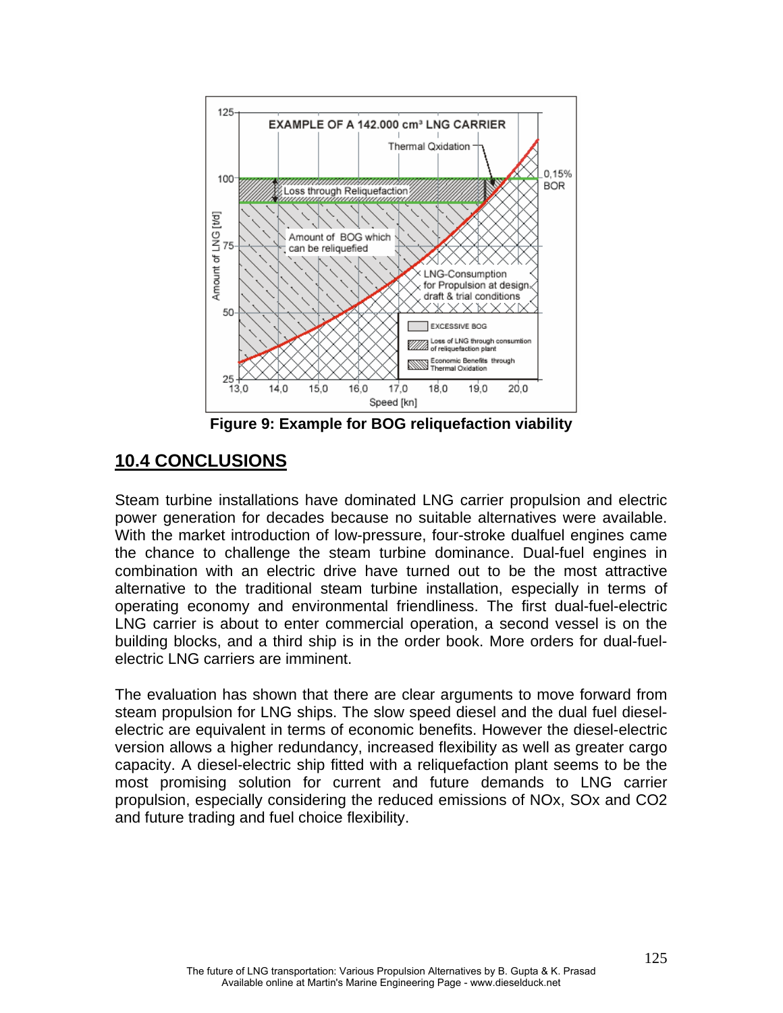

**Figure 9: Example for BOG reliquefaction viability**

# **10.4 CONCLUSIONS**

Steam turbine installations have dominated LNG carrier propulsion and electric power generation for decades because no suitable alternatives were available. With the market introduction of low-pressure, four-stroke dualfuel engines came the chance to challenge the steam turbine dominance. Dual-fuel engines in combination with an electric drive have turned out to be the most attractive alternative to the traditional steam turbine installation, especially in terms of operating economy and environmental friendliness. The first dual-fuel-electric LNG carrier is about to enter commercial operation, a second vessel is on the building blocks, and a third ship is in the order book. More orders for dual-fuelelectric LNG carriers are imminent.

The evaluation has shown that there are clear arguments to move forward from steam propulsion for LNG ships. The slow speed diesel and the dual fuel dieselelectric are equivalent in terms of economic benefits. However the diesel-electric version allows a higher redundancy, increased flexibility as well as greater cargo capacity. A diesel-electric ship fitted with a reliquefaction plant seems to be the most promising solution for current and future demands to LNG carrier propulsion, especially considering the reduced emissions of NOx, SOx and CO2 and future trading and fuel choice flexibility.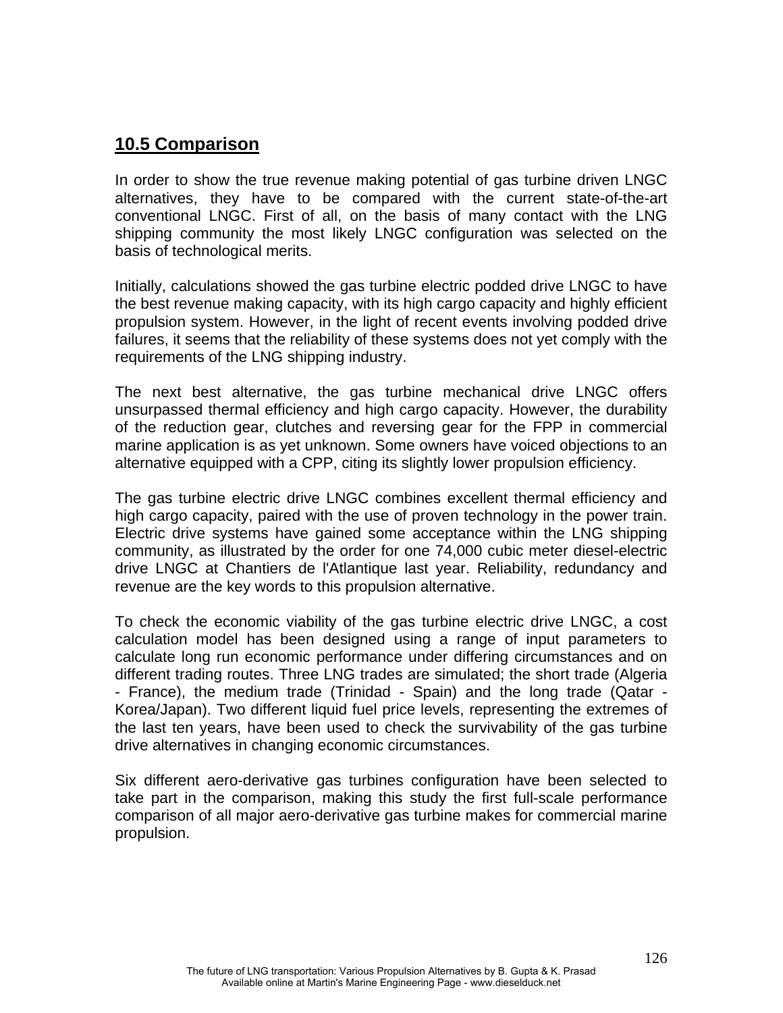## **10.5 Comparison**

In order to show the true revenue making potential of gas turbine driven LNGC alternatives, they have to be compared with the current state-of-the-art conventional LNGC. First of all, on the basis of many contact with the LNG shipping community the most likely LNGC configuration was selected on the basis of technological merits.

Initially, calculations showed the gas turbine electric podded drive LNGC to have the best revenue making capacity, with its high cargo capacity and highly efficient propulsion system. However, in the light of recent events involving podded drive failures, it seems that the reliability of these systems does not yet comply with the requirements of the LNG shipping industry.

The next best alternative, the gas turbine mechanical drive LNGC offers unsurpassed thermal efficiency and high cargo capacity. However, the durability of the reduction gear, clutches and reversing gear for the FPP in commercial marine application is as yet unknown. Some owners have voiced objections to an alternative equipped with a CPP, citing its slightly lower propulsion efficiency.

The gas turbine electric drive LNGC combines excellent thermal efficiency and high cargo capacity, paired with the use of proven technology in the power train. Electric drive systems have gained some acceptance within the LNG shipping community, as illustrated by the order for one 74,000 cubic meter diesel-electric drive LNGC at Chantiers de l'Atlantique last year. Reliability, redundancy and revenue are the key words to this propulsion alternative.

To check the economic viability of the gas turbine electric drive LNGC, a cost calculation model has been designed using a range of input parameters to calculate long run economic performance under differing circumstances and on different trading routes. Three LNG trades are simulated; the short trade (Algeria - France), the medium trade (Trinidad - Spain) and the long trade (Qatar - Korea/Japan). Two different liquid fuel price levels, representing the extremes of the last ten years, have been used to check the survivability of the gas turbine drive alternatives in changing economic circumstances.

Six different aero-derivative gas turbines configuration have been selected to take part in the comparison, making this study the first full-scale performance comparison of all major aero-derivative gas turbine makes for commercial marine propulsion.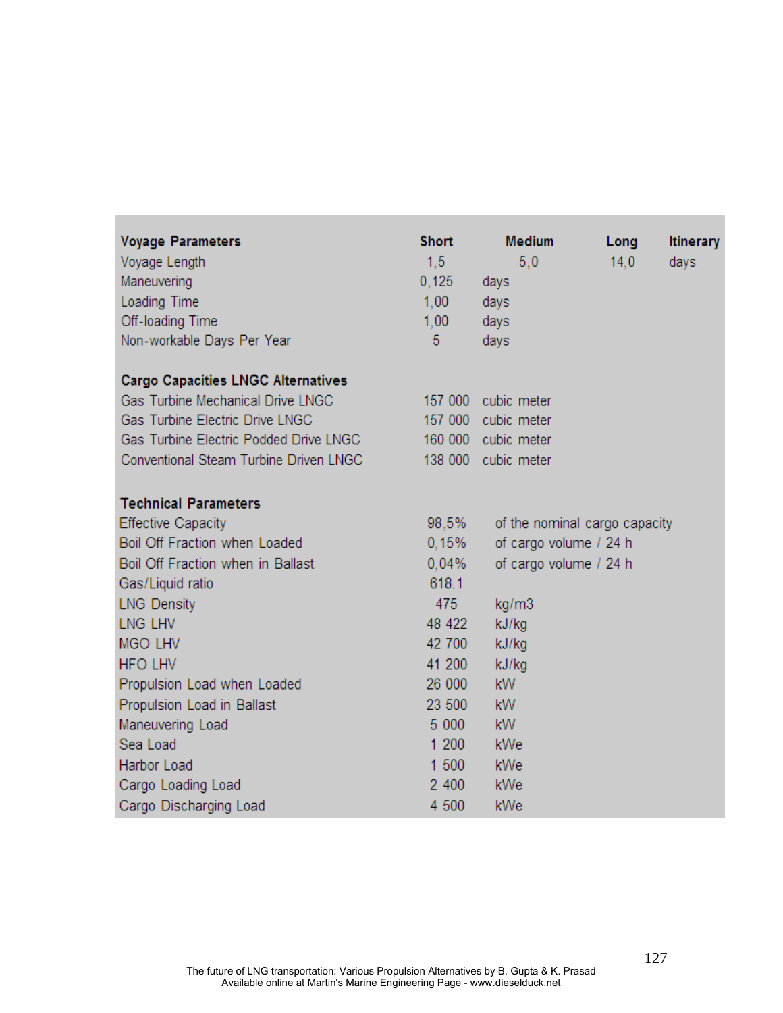| <b>Voyage Parameters</b>                  | <b>Short</b> | <b>Medium</b>                 | Long | <b>Itinerary</b> |
|-------------------------------------------|--------------|-------------------------------|------|------------------|
| Voyage Length                             | 1,5          | 5,0                           | 14,0 | days             |
| Maneuvering                               | 0,125        | days                          |      |                  |
| Loading Time                              | 1,00         | days                          |      |                  |
| Off-loading Time                          | 1,00         | days                          |      |                  |
| Non-workable Days Per Year                | 5            | days                          |      |                  |
| <b>Cargo Capacities LNGC Alternatives</b> |              |                               |      |                  |
| Gas Turbine Mechanical Drive LNGC         | 157 000      | cubic meter                   |      |                  |
| Gas Turbine Electric Drive LNGC           |              | 157 000 cubic meter           |      |                  |
| Gas Turbine Electric Podded Drive LNGC    | 160 000      | cubic meter                   |      |                  |
| Conventional Steam Turbine Driven LNGC    | 138 000      | cubic meter                   |      |                  |
| <b>Technical Parameters</b>               |              |                               |      |                  |
| <b>Effective Capacity</b>                 | 98,5%        | of the nominal cargo capacity |      |                  |
| Boil Off Fraction when Loaded             | 0,15%        | of cargo volume / 24 h        |      |                  |
| Boil Off Fraction when in Ballast         | 0,04%        | of cargo volume / 24 h        |      |                  |
| Gas/Liquid ratio                          | 618.1        |                               |      |                  |
| <b>LNG Density</b>                        | 475          | kg/m3                         |      |                  |
| LNG LHV                                   | 48 422       | kJ/kg                         |      |                  |
| <b>MGO LHV</b>                            | 42 700       | kJ/kg                         |      |                  |
| <b>HFO LHV</b>                            | 41 200       | kJ/kg                         |      |                  |
| Propulsion Load when Loaded               | 26 000       | <b>kW</b>                     |      |                  |
| Propulsion Load in Ballast                | 23 500       | <b>kW</b>                     |      |                  |
| Maneuvering Load                          | 5 000        | <b>kW</b>                     |      |                  |
| Sea Load                                  | 1 200        | kWe                           |      |                  |
| Harbor Load                               | 1 500        | kWe                           |      |                  |
| Cargo Loading Load                        | 2 400        | kWe                           |      |                  |
| Cargo Discharging Load                    | 4 500        | kWe                           |      |                  |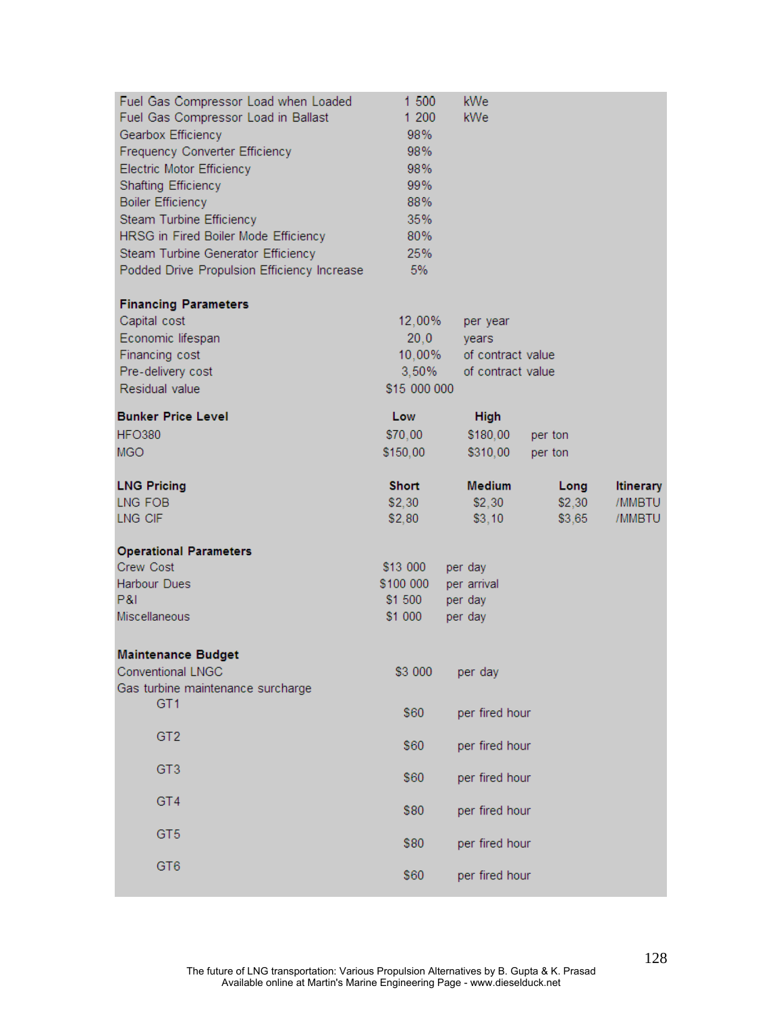| Fuel Gas Compressor Load when Loaded        | 1 500        | kWe               |         |                  |
|---------------------------------------------|--------------|-------------------|---------|------------------|
| Fuel Gas Compressor Load in Ballast         | 1 200        | kWe               |         |                  |
| Gearbox Efficiency                          | 98%          |                   |         |                  |
| Frequency Converter Efficiency              | 98%          |                   |         |                  |
| Electric Motor Efficiency                   | 98%          |                   |         |                  |
| <b>Shafting Efficiency</b>                  | 99%          |                   |         |                  |
| <b>Boiler Efficiency</b>                    | 88%          |                   |         |                  |
| Steam Turbine Efficiency                    | 35%          |                   |         |                  |
| HRSG in Fired Boiler Mode Efficiency        | 80%          |                   |         |                  |
| Steam Turbine Generator Efficiency          | 25%          |                   |         |                  |
| Podded Drive Propulsion Efficiency Increase | 5%           |                   |         |                  |
| <b>Financing Parameters</b>                 |              |                   |         |                  |
| Capital cost                                | 12,00%       | per year          |         |                  |
| Economic lifespan                           | 20,0         | years             |         |                  |
| Financing cost                              | $10,00\%$    | of contract value |         |                  |
| Pre-delivery cost                           | 3,50%        | of contract value |         |                  |
| Residual value                              | \$15 000 000 |                   |         |                  |
| <b>Bunker Price Level</b>                   | Low          | <b>High</b>       |         |                  |
| <b>HFO380</b>                               | \$70,00      | \$180,00          | per ton |                  |
| <b>MGO</b>                                  | \$150,00     | \$310,00          | per ton |                  |
| <b>LNG Pricing</b>                          | <b>Short</b> | <b>Medium</b>     | Long    | <b>Itinerary</b> |
| LNG FOB                                     | \$2,30       | \$2,30            | \$2,30  | /MMBTU           |
| LNG CIF                                     | \$2,80       | \$3,10            | \$3,65  | /MMBTU           |
| <b>Operational Parameters</b>               |              |                   |         |                  |
| <b>Crew Cost</b>                            | \$13 000     | per day           |         |                  |
| Harbour Dues                                | \$100 000    | per arrival       |         |                  |
| P&I                                         | \$1 500      | per day           |         |                  |
| Miscellaneous                               | \$1 000      | per day           |         |                  |
| <b>Maintenance Budget</b>                   |              |                   |         |                  |
| Conventional LNGC                           | \$3 000      | per day           |         |                  |
| Gas turbine maintenance surcharge           |              |                   |         |                  |
| GT <sub>1</sub>                             | \$60         | per fired hour    |         |                  |
| GT <sub>2</sub>                             | \$60         | per fired hour    |         |                  |
|                                             |              |                   |         |                  |
| GT <sub>3</sub>                             | \$60         | per fired hour    |         |                  |
| GT4                                         | \$80         | per fired hour    |         |                  |
|                                             |              |                   |         |                  |
| GT <sub>5</sub>                             | \$80         | per fired hour    |         |                  |
| GT <sub>6</sub>                             |              |                   |         |                  |
|                                             | \$60         | per fired hour    |         |                  |
|                                             |              |                   |         |                  |

 $\overline{a}$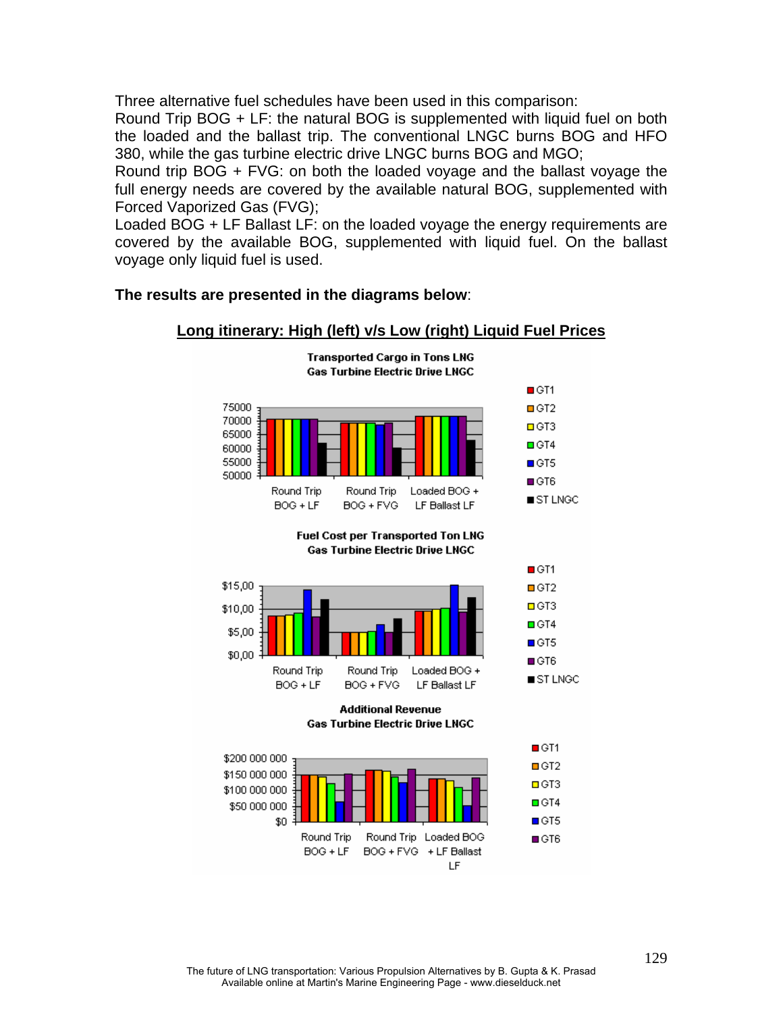Three alternative fuel schedules have been used in this comparison:

Round Trip BOG + LF: the natural BOG is supplemented with liquid fuel on both the loaded and the ballast trip. The conventional LNGC burns BOG and HFO 380, while the gas turbine electric drive LNGC burns BOG and MGO;

Round trip BOG + FVG: on both the loaded voyage and the ballast voyage the full energy needs are covered by the available natural BOG, supplemented with Forced Vaporized Gas (FVG);

Loaded BOG + LF Ballast LF: on the loaded voyage the energy requirements are covered by the available BOG, supplemented with liquid fuel. On the ballast voyage only liquid fuel is used.

## **The results are presented in the diagrams below**:



## **Long itinerary: High (left) v/s Low (right) Liquid Fuel Prices**

The future of LNG transportation: Various Propulsion Alternatives by B. Gupta & K. Prasad Available online at Martin's Marine Engineering Page - www.dieselduck.net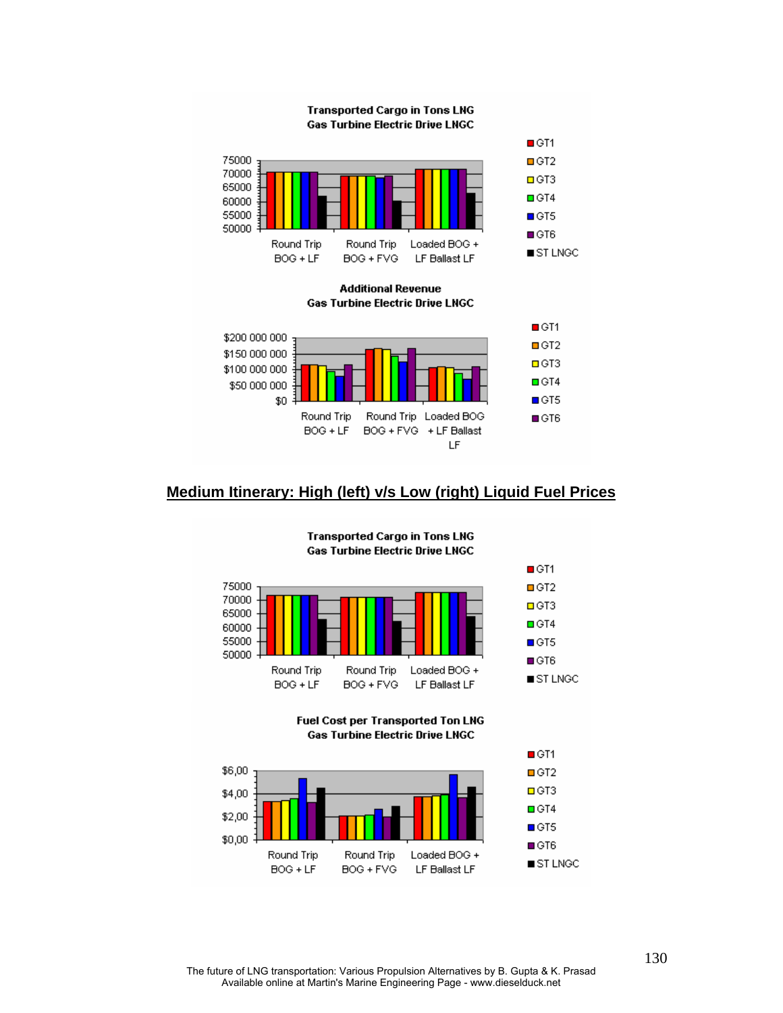

## **Medium Itinerary: High (left) v/s Low (right) Liquid Fuel Prices**



#### **Transported Cargo in Tons LNG Gas Turbine Electric Drive LNGC**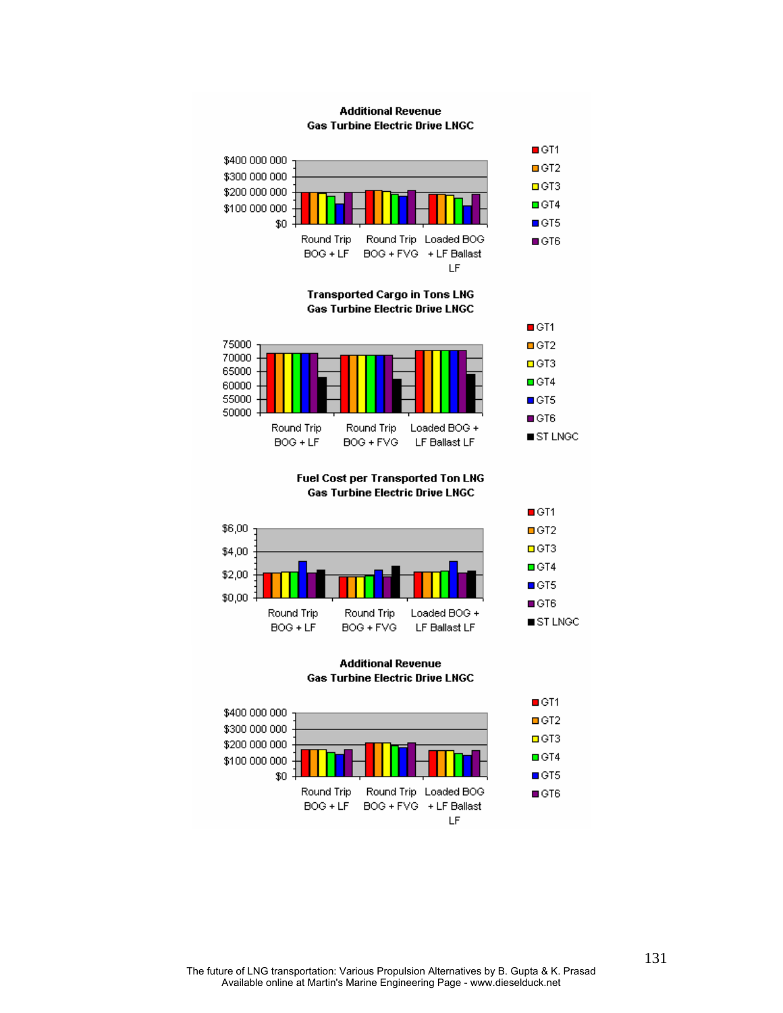#### **Additional Revenue Gas Turbine Electric Drive LNGC**



**Transported Cargo in Tons LNG Gas Turbine Electric Drive LNGC** 



Fuel Cost per Transported Ton LNG **Gas Turbine Electric Drive LNGC** 



**Additional Revenue Gas Turbine Electric Drive LNGC** 



The future of LNG transportation: Various Propulsion Alternatives by B. Gupta & K. Prasad Available online at Martin's Marine Engineering Page - www.dieselduck.net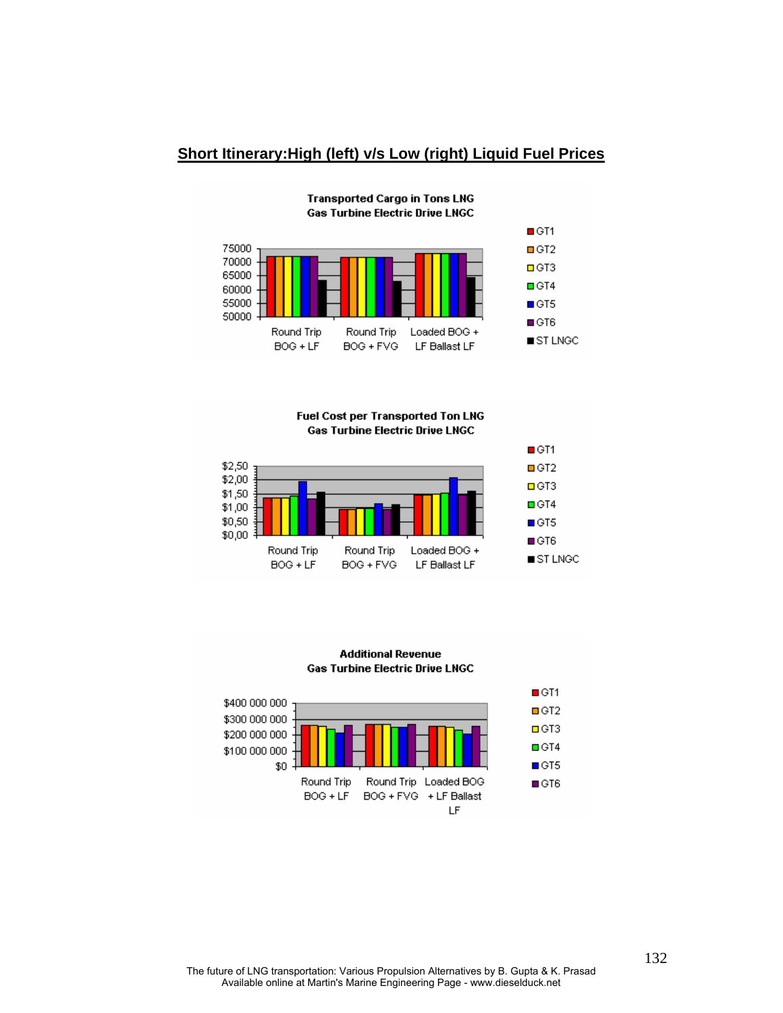### **Short Itinerary:High (left) v/s Low (right) Liquid Fuel Prices**



**Transported Cargo in Tons LNG Gas Turbine Electric Drive LNGC** 

Fuel Cost per Transported Ton LNG **Gas Turbine Electric Drive LNGC** 





The future of LNG transportation: Various Propulsion Alternatives by B. Gupta & K. Prasad Available online at Martin's Marine Engineering Page - www.dieselduck.net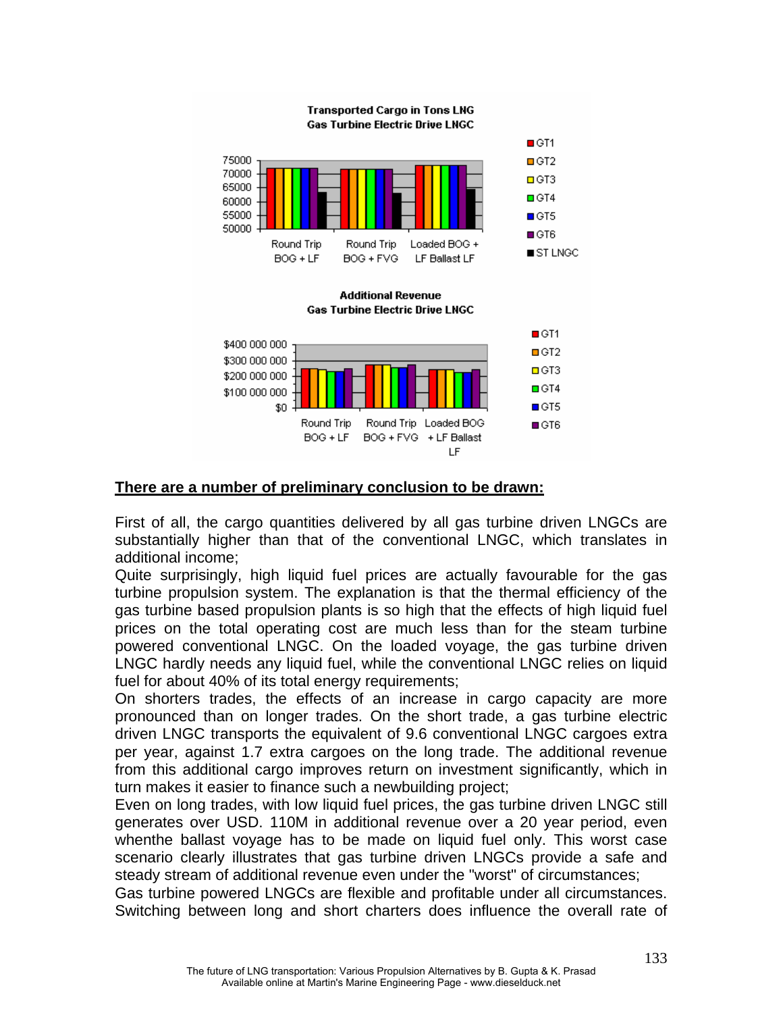

## **There are a number of preliminary conclusion to be drawn:**

First of all, the cargo quantities delivered by all gas turbine driven LNGCs are substantially higher than that of the conventional LNGC, which translates in additional income;

Quite surprisingly, high liquid fuel prices are actually favourable for the gas turbine propulsion system. The explanation is that the thermal efficiency of the gas turbine based propulsion plants is so high that the effects of high liquid fuel prices on the total operating cost are much less than for the steam turbine powered conventional LNGC. On the loaded voyage, the gas turbine driven LNGC hardly needs any liquid fuel, while the conventional LNGC relies on liquid fuel for about 40% of its total energy requirements;

On shorters trades, the effects of an increase in cargo capacity are more pronounced than on longer trades. On the short trade, a gas turbine electric driven LNGC transports the equivalent of 9.6 conventional LNGC cargoes extra per year, against 1.7 extra cargoes on the long trade. The additional revenue from this additional cargo improves return on investment significantly, which in turn makes it easier to finance such a newbuilding project;

Even on long trades, with low liquid fuel prices, the gas turbine driven LNGC still generates over USD. 110M in additional revenue over a 20 year period, even whenthe ballast voyage has to be made on liquid fuel only. This worst case scenario clearly illustrates that gas turbine driven LNGCs provide a safe and steady stream of additional revenue even under the "worst" of circumstances;

Gas turbine powered LNGCs are flexible and profitable under all circumstances. Switching between long and short charters does influence the overall rate of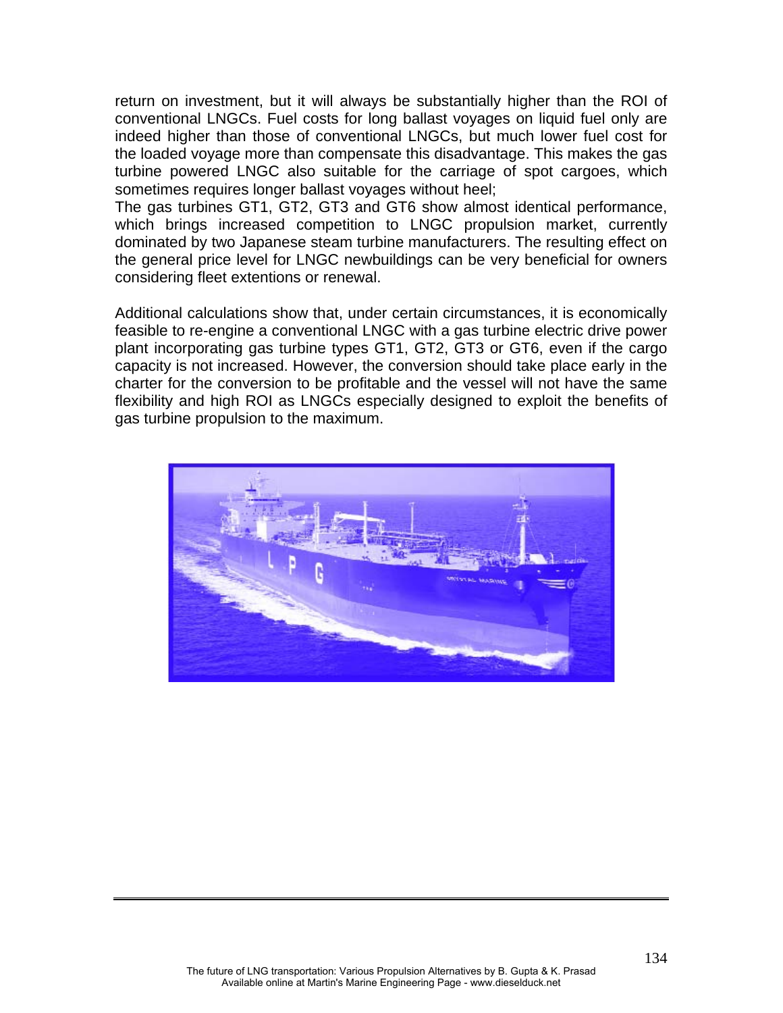return on investment, but it will always be substantially higher than the ROI of conventional LNGCs. Fuel costs for long ballast voyages on liquid fuel only are indeed higher than those of conventional LNGCs, but much lower fuel cost for the loaded voyage more than compensate this disadvantage. This makes the gas turbine powered LNGC also suitable for the carriage of spot cargoes, which sometimes requires longer ballast voyages without heel;

The gas turbines GT1, GT2, GT3 and GT6 show almost identical performance, which brings increased competition to LNGC propulsion market, currently dominated by two Japanese steam turbine manufacturers. The resulting effect on the general price level for LNGC newbuildings can be very beneficial for owners considering fleet extentions or renewal.

Additional calculations show that, under certain circumstances, it is economically feasible to re-engine a conventional LNGC with a gas turbine electric drive power plant incorporating gas turbine types GT1, GT2, GT3 or GT6, even if the cargo capacity is not increased. However, the conversion should take place early in the charter for the conversion to be profitable and the vessel will not have the same flexibility and high ROI as LNGCs especially designed to exploit the benefits of gas turbine propulsion to the maximum.

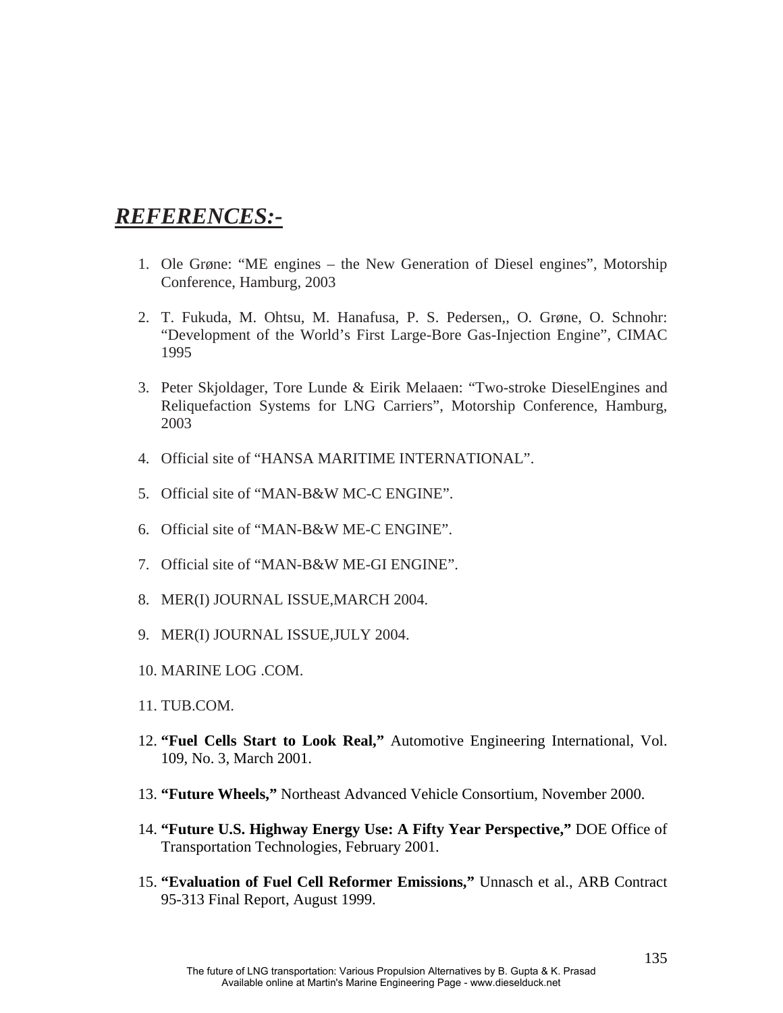# *REFERENCES:-*

- 1. Ole Grøne: "ME engines the New Generation of Diesel engines", Motorship Conference, Hamburg, 2003
- 2. T. Fukuda, M. Ohtsu, M. Hanafusa, P. S. Pedersen,, O. Grøne, O. Schnohr: "Development of the World's First Large-Bore Gas-Injection Engine", CIMAC 1995
- 3. Peter Skjoldager, Tore Lunde & Eirik Melaaen: "Two-stroke DieselEngines and Reliquefaction Systems for LNG Carriers", Motorship Conference, Hamburg, 2003
- 4. Official site of "HANSA MARITIME INTERNATIONAL".
- 5. Official site of "MAN-B&W MC-C ENGINE".
- 6. Official site of "MAN-B&W ME-C ENGINE".
- 7. Official site of "MAN-B&W ME-GI ENGINE".
- 8. MER(I) JOURNAL ISSUE,MARCH 2004.
- 9. MER(I) JOURNAL ISSUE,JULY 2004.
- 10. MARINE LOG .COM.
- 11. TUB.COM.
- 12. **"Fuel Cells Start to Look Real,"** Automotive Engineering International, Vol. 109, No. 3, March 2001.
- 13. **"Future Wheels,"** Northeast Advanced Vehicle Consortium, November 2000.
- 14. **"Future U.S. Highway Energy Use: A Fifty Year Perspective,"** DOE Office of Transportation Technologies, February 2001.
- 15. **"Evaluation of Fuel Cell Reformer Emissions,"** Unnasch et al., ARB Contract 95-313 Final Report, August 1999.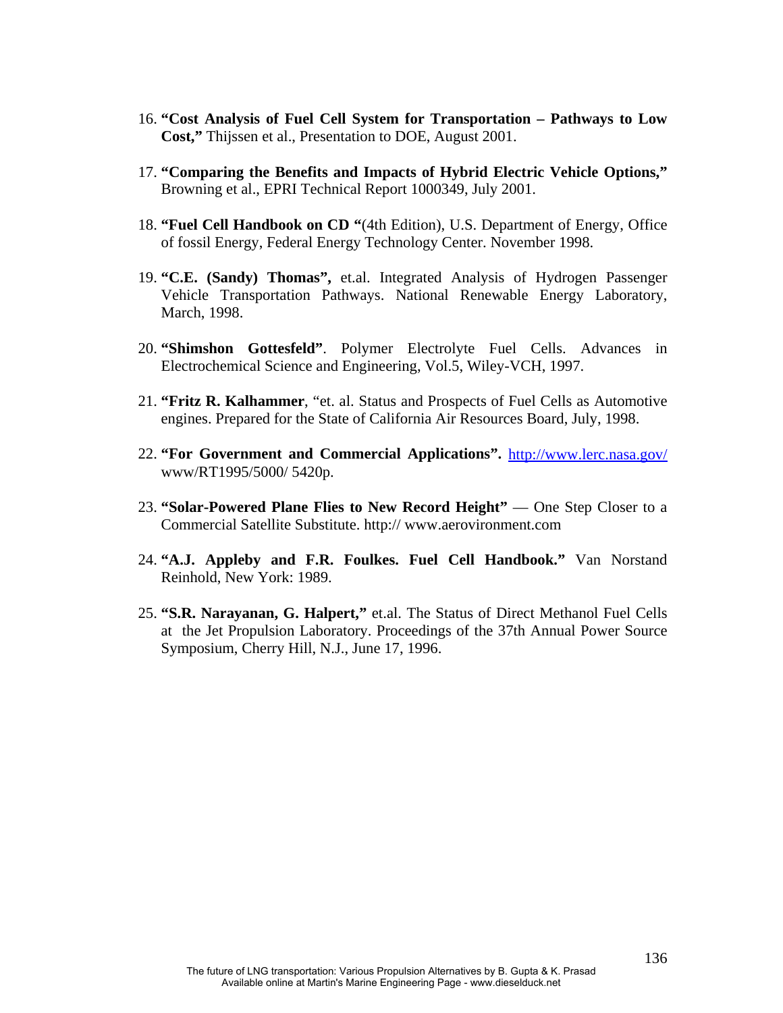- 16. **"Cost Analysis of Fuel Cell System for Transportation Pathways to Low Cost,"** Thijssen et al., Presentation to DOE, August 2001.
- 17. **"Comparing the Benefits and Impacts of Hybrid Electric Vehicle Options,"** Browning et al., EPRI Technical Report 1000349, July 2001.
- 18. **"Fuel Cell Handbook on CD "**(4th Edition), U.S. Department of Energy, Office of fossil Energy, Federal Energy Technology Center. November 1998.
- 19. **"C.E. (Sandy) Thomas",** et.al. Integrated Analysis of Hydrogen Passenger Vehicle Transportation Pathways. National Renewable Energy Laboratory, March, 1998.
- 20. **"Shimshon Gottesfeld"**. Polymer Electrolyte Fuel Cells. Advances in Electrochemical Science and Engineering, Vol.5, Wiley-VCH, 1997.
- 21. **"Fritz R. Kalhammer**, "et. al. Status and Prospects of Fuel Cells as Automotive engines. Prepared for the State of California Air Resources Board, July, 1998.
- 22. **"For Government and Commercial Applications".** <http://www.lerc.nasa.gov/> www/RT1995/5000/ 5420p.
- 23. **"Solar-Powered Plane Flies to New Record Height"** One Step Closer to a Commercial Satellite Substitute. http:// www.aerovironment.com
- 24. **"A.J. Appleby and F.R. Foulkes. Fuel Cell Handbook."** Van Norstand Reinhold, New York: 1989.
- 25. **"S.R. Narayanan, G. Halpert,"** et.al. The Status of Direct Methanol Fuel Cells at the Jet Propulsion Laboratory. Proceedings of the 37th Annual Power Source Symposium, Cherry Hill, N.J., June 17, 1996.